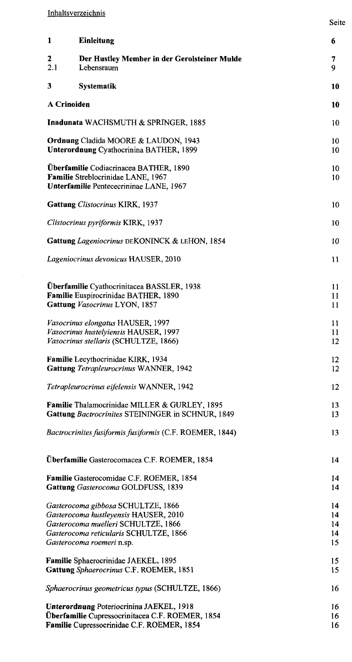$\mathcal{A}^{\mathcal{A}}$ 

| 1                  | Einleitung                                                                                                                                                                                | 6                           |
|--------------------|-------------------------------------------------------------------------------------------------------------------------------------------------------------------------------------------|-----------------------------|
| 2<br>2.1           | Der Hustley Member in der Gerolsteiner Mulde<br>Lebensraum                                                                                                                                | 7<br>9                      |
| 3                  | <b>Systematik</b>                                                                                                                                                                         | 10                          |
| <b>A Crinoiden</b> |                                                                                                                                                                                           | 10                          |
|                    | Inadunata WACHSMUTH & SPRINGER, 1885                                                                                                                                                      | 10                          |
|                    | <b>Ordnung Cladida MOORE &amp; LAUDON, 1943</b><br><b>Unterordnung Cyathocrinina BATHER, 1899</b>                                                                                         | 10<br>10                    |
|                    | Uberfamilie Codiacrinacea BATHER, 1890<br>Familie Streblocrinidae LANE, 1967<br>Unterfamilie Pentececrininae LANE, 1967                                                                   | 10<br>10                    |
|                    | Gattung Clistocrinus KIRK, 1937                                                                                                                                                           | 10                          |
|                    | Clistocrinus pyriformis KIRK, 1937                                                                                                                                                        | 10                          |
|                    | Gattung Lageniocrinus DEKONINCK & LEHON, 1854                                                                                                                                             | 10                          |
|                    | Lageniocrinus devonicus HAUSER, 2010                                                                                                                                                      | 11                          |
|                    | Überfamilie Cyathocrinitacea BASSLER, 1938<br>Familie Euspirocrinidae BATHER, 1890<br>Gattung Vasocrinus LYON, 1857                                                                       | 11<br>11<br>11              |
|                    | Vasocrinus elongatus HAUSER, 1997<br>Vasocrinus hustelyiensis HAUSER, 1997<br>Vasocrinus stellaris (SCHULTZE, 1866)                                                                       | 11<br>11<br>12              |
|                    | <b>Familie</b> Lecythocrinidae KIRK, 1934<br>Gattung Tetrapleurocrinus WANNER, 1942                                                                                                       | 12<br>12                    |
|                    | Tetrapleurocrinus eifelensis WANNER, 1942                                                                                                                                                 | 12                          |
|                    | Familie Thalamocrinidae MILLER & GURLEY, 1895<br>Gattung Bactrocrinites STEININGER in SCHNUR, 1849                                                                                        | 13<br>13                    |
|                    | Bactrocrinites fusiformis fusiformis (C.F. ROEMER, 1844)                                                                                                                                  | 13                          |
|                    | Überfamilie Gasterocomacea C.F. ROEMER, 1854                                                                                                                                              | 14                          |
|                    | Familie Gasterocomidae C.F. ROEMER, 1854<br>Gattung Gasterocoma GOLDFUSS, 1839                                                                                                            | 14<br>14                    |
|                    | Gasterocoma gibbosa SCHULTZE, 1866<br>Gasterocoma hustleyensis HAUSER, 2010<br>Gasterocoma muelleri SCHULTZE, 1866<br>Gasterocoma reticularis SCHULTZE, 1866<br>Gasterocoma roemeri n.sp. | 14<br>14<br>14<br>14<br>15  |
|                    | Familie Sphaerocrinidae JAEKEL, 1895<br>Gattung Sphaerocrimus C.F. ROEMER, 1851                                                                                                           | 15<br>15                    |
|                    | Sphaerocrinus geometricus typus (SCHULTZE, 1866)                                                                                                                                          | 16                          |
|                    | <b>Unterordnung Poteriocrinina JAEKEL, 1918</b><br>Überfamilie Cupressocrinitacea C.F. ROEMER, 1854<br>Familie Cupressocrinidae C.F. ROEMER, 1854                                         | 16<br>16<br>16 <sup>2</sup> |

Seite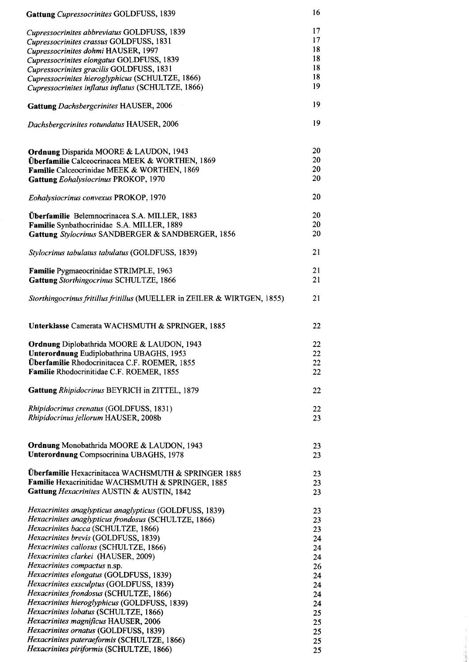| Gattung Cupressocrinites GOLDFUSS, 1839                                                                                                                                          | 16                   |
|----------------------------------------------------------------------------------------------------------------------------------------------------------------------------------|----------------------|
| Cupressocrinites abbreviatus GOLDFUSS, 1839<br>Cupressocrinites crassus GOLDFUSS, 1831                                                                                           | 17<br>17             |
| Cupressocrinites dohmi HAUSER, 1997                                                                                                                                              | 18                   |
| Cupressocrinites elongatus GOLDFUSS, 1839                                                                                                                                        | 18                   |
|                                                                                                                                                                                  | 18                   |
| Cupressocrinites gracilis GOLDFUSS, 1831                                                                                                                                         | 18                   |
| Cupressocrinites hieroglyphicus (SCHULTZE, 1866)                                                                                                                                 |                      |
| Cupressocrinites inflatus inflatus (SCHULTZE, 1866)                                                                                                                              | 19                   |
| Gattung Dachsbergcrinites HAUSER, 2006                                                                                                                                           | 19                   |
| Dachsbergcrinites rotundatus HAUSER, 2006                                                                                                                                        | 19                   |
| Ordnung Disparida MOORE & LAUDON, 1943<br>Überfamilie Calceocrinacea MEEK & WORTHEN, 1869<br>Familie Calceocrinidae MEEK & WORTHEN, 1869<br>Gattung Eohalysiocrinus PROKOP, 1970 | 20<br>20<br>20<br>20 |
| Eohalysiocrinus convexus PROKOP, 1970                                                                                                                                            | 20                   |
| Überfamilie Belemnocrinacea S.A. MILLER, 1883                                                                                                                                    | 20                   |
| Familie Synbathocrinidae S.A. MILLER, 1889                                                                                                                                       | 20                   |
| Gattung Stylocrinus SANDBERGER & SANDBERGER, 1856                                                                                                                                | 20                   |
| Stylocrinus tabulatus tabulatus (GOLDFUSS, 1839)                                                                                                                                 | 21                   |
|                                                                                                                                                                                  |                      |
| Familie Pygmaeocrinidae STRIMPLE, 1963<br>Gattung Storthingocrinus SCHULTZE, 1866                                                                                                | 21<br>21             |
| Storthingocrinus fritillus fritillus (MUELLER in ZEILER & WIRTGEN, 1855)                                                                                                         | 21                   |
| Unterklasse Camerata WACHSMUTH & SPRINGER, 1885                                                                                                                                  | 22                   |
| Ordnung Diplobathrida MOORE & LAUDON, 1943                                                                                                                                       | 22                   |
| Unterordnung Eudiplobathrina UBAGHS, 1953                                                                                                                                        | 22                   |
| Überfamilie Rhodocrinitacea C.F. ROEMER, 1855                                                                                                                                    | 22                   |
| Familie Rhodocrinitidae C.F. ROEMER, 1855                                                                                                                                        |                      |
|                                                                                                                                                                                  | 22                   |
| Gattung Rhipidocrinus BEYRICH in ZITTEL, 1879                                                                                                                                    | 22                   |
| <i>Rhipidocrinus crenatus</i> (GOLDFUSS, 1831)                                                                                                                                   | 22                   |
| Rhipidocrinus jellorum HAUSER, 2008b                                                                                                                                             | 23                   |
|                                                                                                                                                                                  |                      |
| <b>Ordnung Monobathrida MOORE &amp; LAUDON, 1943</b><br><b>Unterordnung Compsocrinina UBAGHS, 1978</b>                                                                           | 23<br>23             |
|                                                                                                                                                                                  |                      |
| Überfamilie Hexacrinitacea WACHSMUTH & SPRINGER 1885                                                                                                                             |                      |
|                                                                                                                                                                                  | 23                   |
| Familie Hexacrinitidae WACHSMUTH & SPRINGER, 1885                                                                                                                                | 23                   |
| Gattung Hexacrinites AUSTIN & AUSTIN, 1842                                                                                                                                       | 23                   |
|                                                                                                                                                                                  |                      |
| <i>Hexacrinites anaglypticus anaglypticus</i> (GOLDFUSS, 1839)                                                                                                                   | 23                   |
| Hexacrinites anaglypticus frondosus (SCHULTZE, 1866)                                                                                                                             | 23                   |
| Hexacrinites bacca (SCHULTZE, 1866)                                                                                                                                              | 23                   |
| <i>Hexacrinites brevis</i> (GOLDFUSS, 1839)                                                                                                                                      | 24                   |
| Hexacrinites callosus (SCHULTZE, 1866)                                                                                                                                           | 24                   |
| Hexacrinites clarkei (HAUSER, 2009)                                                                                                                                              | 24                   |
| <i>Hexacrinites compactus</i> n.sp.                                                                                                                                              | 26                   |
| Hexacrinites elongatus (GOLDFUSS, 1839)                                                                                                                                          | 24                   |
| Hexacrinites exsculptus (GOLDFUSS, 1839)                                                                                                                                         | 24                   |
| Hexacrinites frondosus (SCHULTZE, 1866)                                                                                                                                          | 24                   |
| Hexacrinites hieroglyphicus (GOLDFUSS, 1839)                                                                                                                                     | 24                   |
| Hexacrinites lobatus (SCHULTZE, 1866)                                                                                                                                            | 25                   |
| Hexacrinites magnificus HAUSER, 2006                                                                                                                                             | 25                   |
| Hexacrinites ornatus (GOLDFUSS, 1839)                                                                                                                                            | 25                   |
| Hexacrinites pateraeformis (SCHULTZE, 1866)                                                                                                                                      | 25                   |
| Hexacrinites piriformis (SCHULTZE, 1866)                                                                                                                                         | 25                   |

 $\label{eq:1} \Delta\left(\frac{1}{2}\mu\partial^2\psi^2\partial^2\psi^2\right)=\frac{1}{2}\mu\mu\mu\,,$